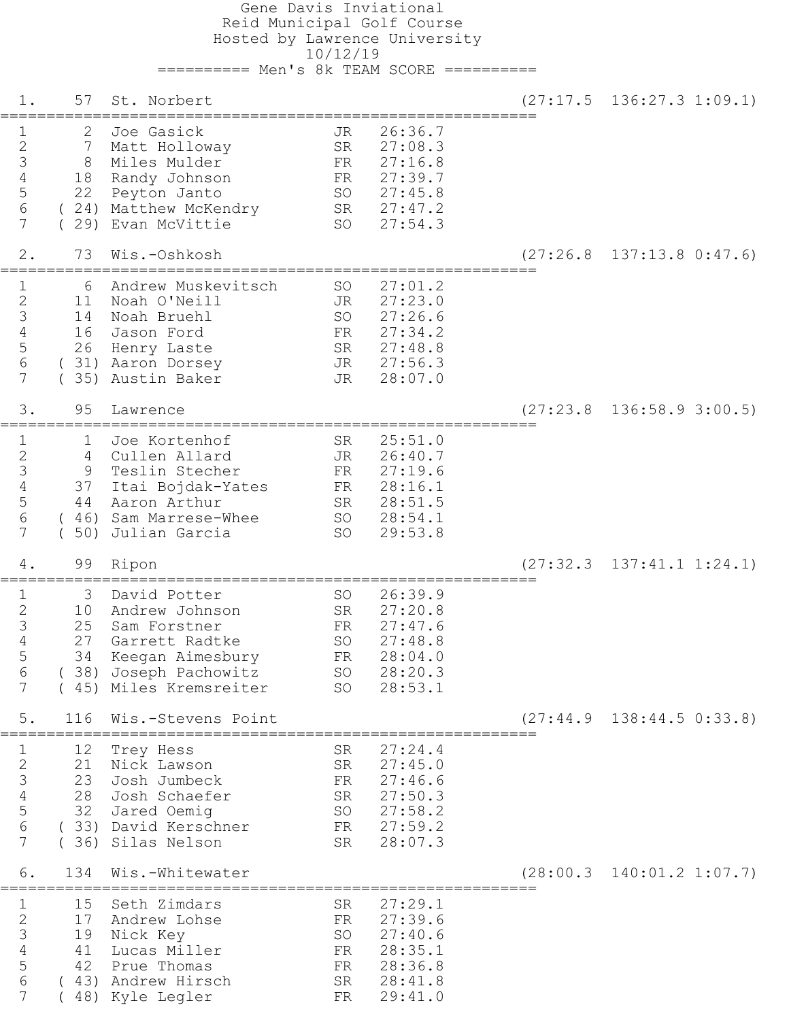Gene Davis Inviational Reid Municipal Golf Course Hosted by Lawrence University 10/12/19 ========== Men's 8k TEAM SCORE ========== 1. 57 St. Norbert (27:17.5 136:27.3 1:09.1) ========================================================== 1 2 Joe Gasick 5 JR 26:36.7 2 7 Matt Holloway SR 27:08.3 3 8 Miles Mulder FR 27:16.8 4 18 Randy Johnson FR 27:39.7 5 22 Peyton Janto SO 27:45.8 6 ( 24) Matthew McKendry SR 27:47.2 7 ( 29) Evan McVittie SO 27:54.3 2. 73 Wis.-Oshkosh (27:26.8 137:13.8 0:47.6) ========================================================== 1 6 Andrew Muskevitsch SO 27:01.2 2 11 Noah O'Neill JR 27:23.0 3 14 Noah Bruehl SO 27:26.6 4 16 Jason Ford FR 27:34.2 5 26 Henry Laste SR 27:48.8 6 ( 31) Aaron Dorsey JR 27:56.3 7 (35) Austin Baker JR 28:07.0 3. 95 Lawrence (27:23.8 136:58.9 3:00.5) ========================================================== 1 1 Joe Kortenhof SR 25:51.0 2 4 Cullen Allard JR 26:40.7 3 9 Teslin Stecher FR 27:19.6 4 37 Itai Bojdak-Yates FR 28:16.1 5 44 Aaron Arthur SR 28:51.5 6 ( 46) Sam Marrese-Whee SO 28:54.1 7 ( 50) Julian Garcia SO 29:53.8 4. 99 Ripon (27:32.3 137:41.1 1:24.1) ========================================================== 1 3 David Potter SO 26:39.9 2 10 Andrew Johnson SR 27:20.8 3 25 Sam Forstner FR 27:47.6 4 27 Garrett Radtke SO 27:48.8 5 34 Keegan Aimesbury FR 28:04.0 6 ( 38) Joseph Pachowitz SO 28:20.3 7 ( 45) Miles Kremsreiter SO 28:53.1 5. 116 Wis.-Stevens Point (27:44.9 138:44.5 0:33.8) ========================================================== 1 12 Trey Hess SR 27:24.4 2 21 Nick Lawson SR 27:45.0 3 23 Josh Jumbeck FR 27:46.6 4 28 Josh Schaefer SR 27:50.3 5 32 Jared Oemig SO 27:58.2 6 ( 33) David Kerschner FR 27:59.2 7 ( 36) Silas Nelson SR 28:07.3 6. 134 Wis.-Whitewater (28:00.3 140:01.2 1:07.7) ========================================================== 1 15 Seth Zimdars SR 27:29.1 2 17 Andrew Lohse FR 27:39.6 3 19 Nick Key SO 27:40.6 4 41 Lucas Miller FR 28:35.1 5 42 Prue Thomas FR 28:36.8 6 ( 43) Andrew Hirsch SR 28:41.8 7 ( 48) Kyle Legler FR 29:41.0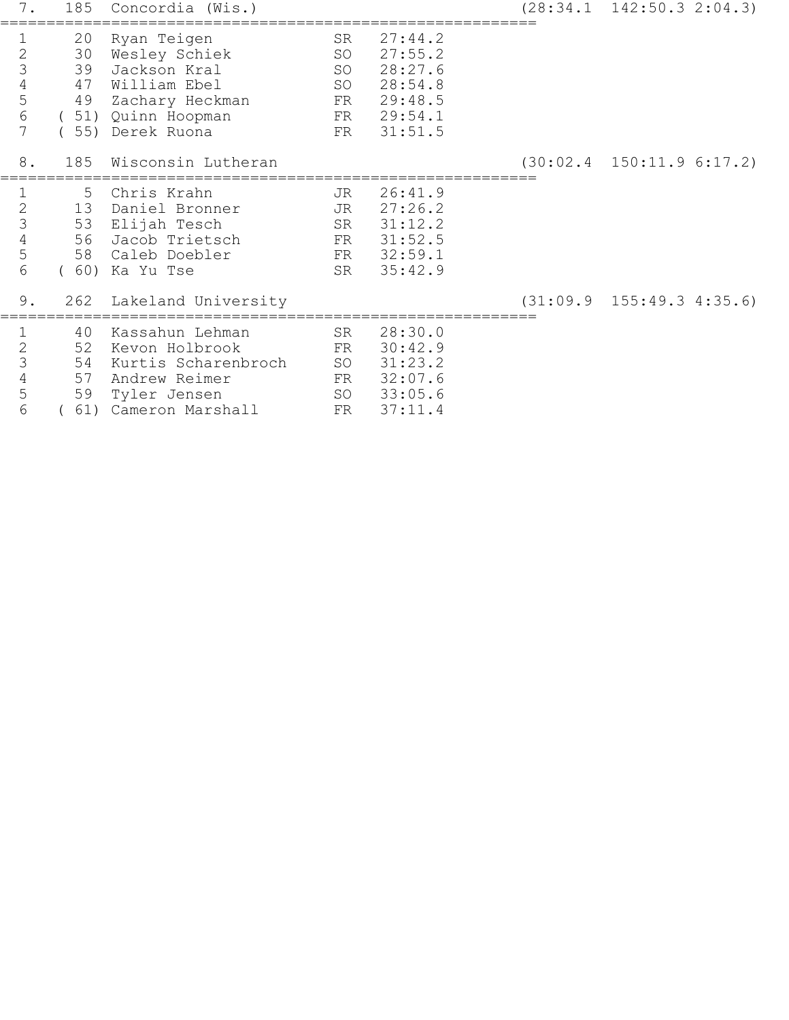| 7.                                             | 185                        | Concordia (Wis.)                                                                                                          |                                  |                                                                                 | $(28:34.1 \quad 142:50.3 \quad 2:04.3)$ |
|------------------------------------------------|----------------------------|---------------------------------------------------------------------------------------------------------------------------|----------------------------------|---------------------------------------------------------------------------------|-----------------------------------------|
| $\mathbf 1$<br>234567                          | 20<br>30<br>39<br>47<br>49 | Ryan Teigen<br>Wesley Schiek<br>Jackson Kral<br>William Ebel<br>Zachary Heckman<br>(51) Quinn Hoopman<br>(55) Derek Ruona | SR<br>SO<br>SO<br>SO<br>FR       | 27:44.2<br>27:55.2<br>28:27.6<br>28:54.8<br>FR 29:48.5<br>FR 29:54.1<br>31:51.5 |                                         |
| 8.                                             | 185                        | Wisconsin Lutheran                                                                                                        |                                  |                                                                                 | $(30:02.4 \quad 150:11.9 \quad 6:17.2)$ |
| $\frac{1}{2}$ $\frac{2}{3}$ $\frac{4}{5}$<br>6 | 5                          | Chris Krahn<br>13 Daniel Bronner<br>53 Elijah Tesch<br>56 Jacob Trietsch<br>58 Caleb Doebler<br>(60) Ka Yu Tse            | JR<br>JR<br>SR<br>FR<br>FR<br>SR | 26:41.9<br>27:26.2<br>31:12.2<br>31:52.5<br>32:59.1<br>35:42.9                  |                                         |
| 9.                                             | 262                        | Lakeland University                                                                                                       |                                  |                                                                                 | $(31:09.9 \quad 155:49.3 \quad 4:35.6)$ |
| 12345<br>6                                     | 40<br>52<br>54<br>57<br>59 | Kassahun Lehman<br>Kevon Holbrook<br>Kurtis Scharenbroch<br>Andrew Reimer<br>Tyler Jensen<br>61) Cameron Marshall         | SR<br>FR<br>SO<br>FR<br>FR       | 28:30.0<br>30:42.9<br>31:23.2<br>32:07.6<br>SO 33:05.6<br>37:11.4               |                                         |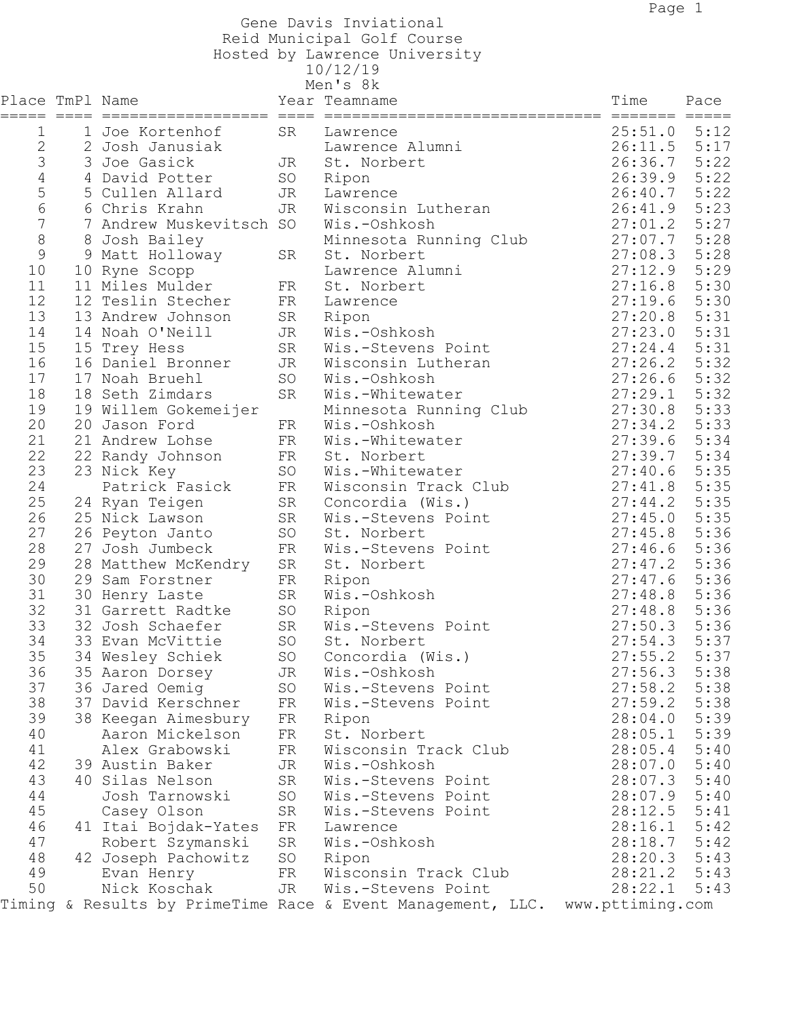Gene Davis Inviational

Reid Municipal Golf Course

 Hosted by Lawrence University 10/12/19

| エソノ エムノ エン |               |     |
|------------|---------------|-----|
| Men's      | $^{\prime}$ S | 8 k |

| Men's 8k        |  |                                   |          |                                                                              |         |      |  |
|-----------------|--|-----------------------------------|----------|------------------------------------------------------------------------------|---------|------|--|
| Place TmPl Name |  |                                   |          | Year Teamname                                                                | Time    | Pace |  |
| =====<br>1      |  | 1 Joe Kortenhof                   | SR       |                                                                              | 25:51.0 | 5:12 |  |
| 2               |  | 2 Josh Janusiak                   |          | Lawrence<br>Lawrence Alumni                                                  | 26:11.5 | 5:17 |  |
| 3               |  | 3 Joe Gasick                      |          |                                                                              | 26:36.7 | 5:22 |  |
| 4               |  | 4 David Potter                    | JR<br>SO | St. Norbert                                                                  | 26:39.9 | 5:22 |  |
|                 |  |                                   | JR       | Ripon<br>Lawrence                                                            | 26:40.7 | 5:22 |  |
| 5<br>6          |  | 5 Cullen Allard<br>6 Chris Krahn  | JR       | Wisconsin Lutheran                                                           | 26:41.9 | 5:23 |  |
| $\overline{7}$  |  | 7 Andrew Muskevitsch SO           |          | Wis.-Oshkosh                                                                 | 27:01.2 | 5:27 |  |
| 8               |  |                                   |          |                                                                              | 27:07.7 | 5:28 |  |
| 9               |  | 8 Josh Bailey                     | SR       | Minnesota Running Club<br>St. Norbert                                        | 27:08.3 | 5:28 |  |
| 10              |  | 9 Matt Holloway                   |          | Lawrence Alumni                                                              | 27:12.9 | 5:29 |  |
| 11              |  | 10 Ryne Scopp<br>11 Miles Mulder  | FR       | St. Norbert                                                                  | 27:16.8 | 5:30 |  |
| 12              |  | 12 Teslin Stecher                 | FR       |                                                                              | 27:19.6 | 5:30 |  |
| 13              |  | 13 Andrew Johnson                 | SR       | Lawrence<br>Ripon                                                            | 27:20.8 | 5:31 |  |
| 14              |  | 14 Noah O'Neill                   | JR       | Wis.-Oshkosh                                                                 | 27:23.0 | 5:31 |  |
| 15              |  |                                   | SR       | Wis.-Stevens Point                                                           | 27:24.4 | 5:31 |  |
| 16              |  | 15 Trey Hess<br>16 Daniel Bronner | JR       | Wisconsin Lutheran                                                           | 27:26.2 | 5:32 |  |
| 17              |  | 17 Noah Bruehl                    | SO       | Wis.-Oshkosh                                                                 | 27:26.6 | 5:32 |  |
| 18              |  | 18 Seth Zimdars                   | SR       | Wis.-Whitewater                                                              | 27:29.1 | 5:32 |  |
| 19              |  | 19 Willem Gokemeijer              |          | Minnesota Running Club                                                       | 27:30.8 | 5:33 |  |
| 20              |  | 20 Jason Ford                     | FR       | Wis.-Oshkosh                                                                 | 27:34.2 | 5:33 |  |
| 21              |  | 21 Andrew Lohse                   | FR       | Wis.-Whitewater                                                              | 27:39.6 | 5:34 |  |
| 22              |  | 22 Randy Johnson                  | FR       | St. Norbert                                                                  | 27:39.7 | 5:34 |  |
| 23              |  | 23 Nick Key                       | SO       | Wis.-Whitewater                                                              | 27:40.6 | 5:35 |  |
| 24              |  | Patrick Fasick                    | FR       | Wisconsin Track Club                                                         | 27:41.8 | 5:35 |  |
| 25              |  | 24 Ryan Teigen                    | SR       | Concordia (Wis.)                                                             | 27:44.2 | 5:35 |  |
| 26              |  | 25 Nick Lawson                    | SR       | Wis.-Stevens Point                                                           | 27:45.0 | 5:35 |  |
| 27              |  | 26 Peyton Janto                   | SO       | St. Norbert                                                                  | 27:45.8 | 5:36 |  |
| 28              |  | 27 Josh Jumbeck                   | FR       | Wis.-Stevens Point                                                           | 27:46.6 | 5:36 |  |
| 29              |  | 28 Matthew McKendry               | SR       | St. Norbert                                                                  | 27:47.2 | 5:36 |  |
| 30              |  | 29 Sam Forstner                   | FR       | Ripon                                                                        | 27:47.6 | 5:36 |  |
| 31              |  | 30 Henry Laste                    | SR       | Wis.-Oshkosh                                                                 | 27:48.8 | 5:36 |  |
| 32              |  | 31 Garrett Radtke                 | SO       | Ripon                                                                        | 27:48.8 | 5:36 |  |
| 33              |  | 32 Josh Schaefer                  | SR       | Wis.-Stevens Point                                                           | 27:50.3 | 5:36 |  |
| 34              |  | 33 Evan McVittie                  | SO       | St. Norbert                                                                  | 27:54.3 | 5:37 |  |
| 35              |  | 34 Wesley Schiek                  | SO       | Concordia (Wis.)                                                             | 27:55.2 | 5:37 |  |
| 36              |  | 35 Aaron Dorsey                   | JR       | Wis.-Oshkosh                                                                 | 27:56.3 | 5:38 |  |
| 37              |  | 36 Jared Oemig                    | SO       | Wis.-Stevens Point                                                           | 27:58.2 | 5:38 |  |
| 38              |  | 37 David Kerschner                | FR       | Wis.-Stevens Point                                                           | 27:59.2 | 5:38 |  |
| 39              |  | 38 Keegan Aimesbury               | FR       | Ripon                                                                        | 28:04.0 | 5:39 |  |
| 40              |  | Aaron Mickelson                   | FR       | St. Norbert                                                                  | 28:05.1 | 5:39 |  |
| 41              |  | Alex Grabowski                    | FR       | Wisconsin Track Club                                                         | 28:05.4 | 5:40 |  |
| 42              |  | 39 Austin Baker                   | JR       | Wis.-Oshkosh                                                                 | 28:07.0 | 5:40 |  |
| 43              |  | 40 Silas Nelson                   | SR       | Wis.-Stevens Point                                                           | 28:07.3 | 5:40 |  |
| 44              |  | Josh Tarnowski                    | SO       | Wis.-Stevens Point                                                           | 28:07.9 | 5:40 |  |
| 45              |  | Casey Olson                       | SR       | Wis.-Stevens Point                                                           | 28:12.5 | 5:41 |  |
| 46              |  | 41 Itai Bojdak-Yates              | FR       | Lawrence                                                                     | 28:16.1 | 5:42 |  |
| 47              |  | Robert Szymanski                  | SR       | Wis.-Oshkosh                                                                 | 28:18.7 | 5:42 |  |
| 48              |  | 42 Joseph Pachowitz               | SO       | Ripon                                                                        | 28:20.3 | 5:43 |  |
| 49              |  | Evan Henry                        | FR       | Wisconsin Track Club                                                         | 28:21.2 | 5:43 |  |
| 50              |  | Nick Koschak                      | JR       | Wis.-Stevens Point                                                           | 28:22.1 | 5:43 |  |
|                 |  |                                   |          | Timing & Results by PrimeTime Race & Event Management, LLC. www.pttiming.com |         |      |  |
|                 |  |                                   |          |                                                                              |         |      |  |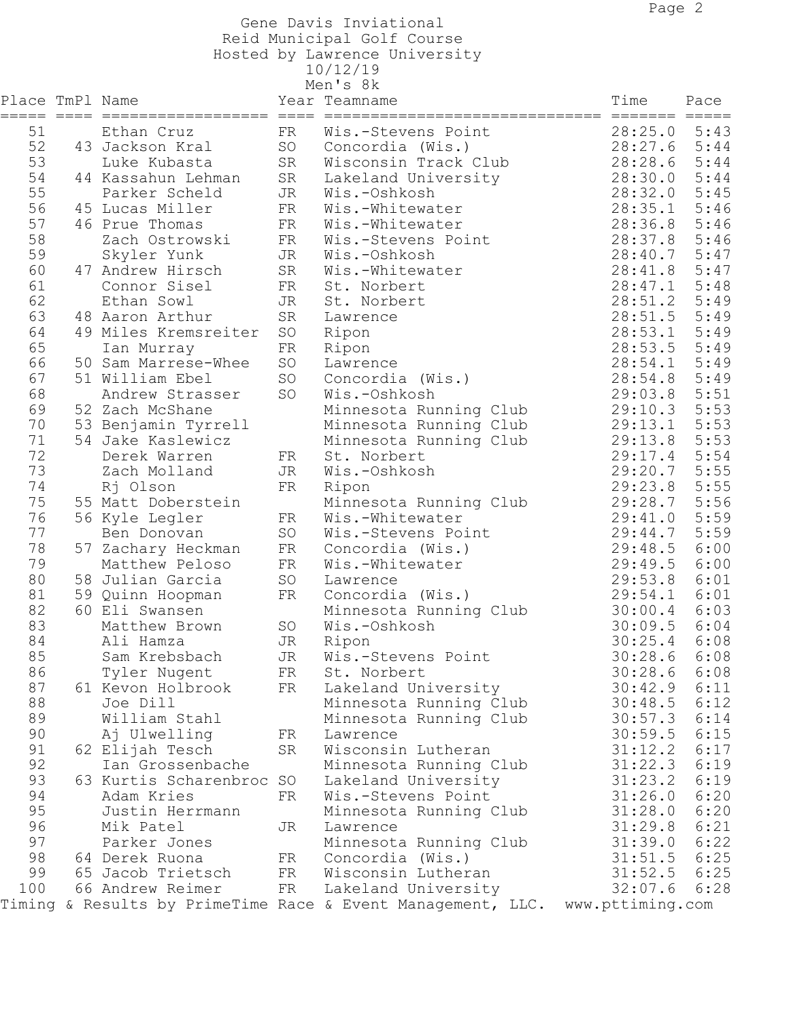Gene Davis Inviational

Reid Municipal Golf Course

 Hosted by Lawrence University 10/12/19

| エソノエムノ | $\mathbf{1}$ |
|--------|--------------|
| Men    | 8 k          |

|                 |                                         |    | Men's 8k                                                    |                  |      |
|-----------------|-----------------------------------------|----|-------------------------------------------------------------|------------------|------|
| Place TmPl Name |                                         |    | Year Teamname                                               | Time             | Pace |
|                 | ===== ==== ================== ==== ==== |    | =======================                                     |                  |      |
| 51              | Ethan Cruz                              | FR | Wis.-Stevens Point                                          | 28:25.0          | 5:43 |
| 52              | 43 Jackson Kral                         | SO | Concordia (Wis.)                                            | 28:27.6          | 5:44 |
| 53              | Luke Kubasta                            | SR | Wisconsin Track Club                                        | 28:28.6          | 5:44 |
| 54              | 44 Kassahun Lehman                      | SR | Lakeland University                                         | 28:30.0          | 5:44 |
| 55              | Parker Scheld                           | JR | Wis.-Oshkosh                                                | 28:32.0          | 5:45 |
| 56              | 45 Lucas Miller                         | FR | Wis.-Whitewater                                             | 28:35.1          | 5:46 |
| 57              | 46 Prue Thomas                          | FR | Wis.-Whitewater                                             | 28:36.8          | 5:46 |
| 58              | Zach Ostrowski                          | FR | Wis.-Stevens Point                                          | 28:37.8          | 5:46 |
| 59              | Skyler Yunk                             | JR | Wis.-Oshkosh                                                | 28:40.7          | 5:47 |
| 60              | 47 Andrew Hirsch                        | SR | Wis.-Whitewater                                             | 28:41.8          | 5:47 |
| 61              | Connor Sisel                            | FR | St. Norbert                                                 | 28:47.1          | 5:48 |
| 62              | Ethan Sowl                              | JR | St. Norbert                                                 | 28:51.2          | 5:49 |
| 63              | 48 Aaron Arthur                         | SR | Lawrence                                                    | 28:51.5          | 5:49 |
| 64              | 49 Miles Kremsreiter                    | SO | Ripon                                                       | 28:53.1          | 5:49 |
| 65              | Ian Murray                              | FR | Ripon                                                       | 28:53.5          | 5:49 |
| 66              | 50 Sam Marrese-Whee                     | SO | Lawrence                                                    | 28:54.1          | 5:49 |
| 67              | 51 William Ebel                         | SO | Concordia (Wis.)                                            | 28:54.8          | 5:49 |
| 68              | Andrew Strasser                         | SO | Wis.-Oshkosh                                                | 29:03.8          | 5:51 |
| 69              | 52 Zach McShane                         |    | Minnesota Running Club                                      | 29:10.3          | 5:53 |
| 70              | 53 Benjamin Tyrrell                     |    | Minnesota Running Club                                      | 29:13.1          | 5:53 |
| 71              | 54 Jake Kaslewicz                       |    | Minnesota Running Club                                      | 29:13.8          | 5:53 |
| 72              | Derek Warren                            | FR | St. Norbert                                                 | 29:17.4          | 5:54 |
| 73              | Zach Molland                            | JR | Wis.-Oshkosh                                                | 29:20.7          | 5:55 |
| 74              | Rj Olson                                | FR | Ripon                                                       | 29:23.8          | 5:55 |
| 75              | 55 Matt Doberstein                      |    | Minnesota Running Club                                      | 29:28.7          | 5:56 |
| 76              | 56 Kyle Legler                          | FR | Wis.-Whitewater                                             | 29:41.0          | 5:59 |
| 77              | Ben Donovan                             | SO | Wis.-Stevens Point                                          | 29:44.7          | 5:59 |
| 78              | 57 Zachary Heckman                      | FR | Concordia (Wis.)                                            | 29:48.5          | 6:00 |
| 79              | Matthew Peloso                          | FR | Wis.-Whitewater                                             | 29:49.5          | 6:00 |
| 80              | 58 Julian Garcia                        | SO | Lawrence                                                    | 29:53.8          | 6:01 |
| 81              | 59 Quinn Hoopman                        | FR | Concordia (Wis.)                                            | 29:54.1          | 6:01 |
| 82              | 60 Eli Swansen                          |    | Minnesota Running Club                                      | 30:00.4          | 6:03 |
| 83              | Matthew Brown                           | SO | Wis.-Oshkosh                                                | 30:09.5          | 6:04 |
| 84              | Ali Hamza                               | JR | Ripon                                                       | 30:25.4          | 6:08 |
| 85              | Sam Krebsbach                           | JR | Wis.-Stevens Point                                          | 30:28.6 6:08     |      |
| 86              | Tyler Nugent                            | FR | St. Norbert                                                 | 30:28.6          | 6:08 |
| 87              | 61 Kevon Holbrook                       | FR | Lakeland University                                         | 30:42.9          | 6:11 |
| 88              | Joe Dill                                |    | Minnesota Running Club                                      | 30:48.5          | 6:12 |
| 89              | William Stahl                           |    | Minnesota Running Club                                      | 30:57.3          | 6:14 |
| 90              | Aj Ulwelling                            | FR | Lawrence                                                    | 30:59.5          | 6:15 |
| 91              | 62 Elijah Tesch                         | SR | Wisconsin Lutheran                                          | 31:12.2          | 6:17 |
| 92              | Ian Grossenbache                        |    | Minnesota Running Club                                      | 31:22.3          | 6:19 |
| 93              | 63 Kurtis Scharenbroc SO                |    | Lakeland University                                         | 31:23.2          | 6:19 |
| 94              | Adam Kries                              | FR | Wis.-Stevens Point                                          | 31:26.0          | 6:20 |
| 95              | Justin Herrmann                         |    | Minnesota Running Club                                      | 31:28.0          | 6:20 |
| 96              | Mik Patel                               | JR | Lawrence                                                    | 31:29.8          | 6:21 |
| 97              | Parker Jones                            |    | Minnesota Running Club                                      | 31:39.0          | 6:22 |
| 98              | 64 Derek Ruona                          | FR | Concordia (Wis.)                                            | 31:51.5          | 6:25 |
| 99              | 65 Jacob Trietsch                       | FR | Wisconsin Lutheran                                          | 31:52.5          | 6:25 |
| 100             | 66 Andrew Reimer                        | FR | Lakeland University                                         | 32:07.6          | 6:28 |
|                 |                                         |    | Timing & Results by PrimeTime Race & Event Management, LLC. | www.pttiming.com |      |